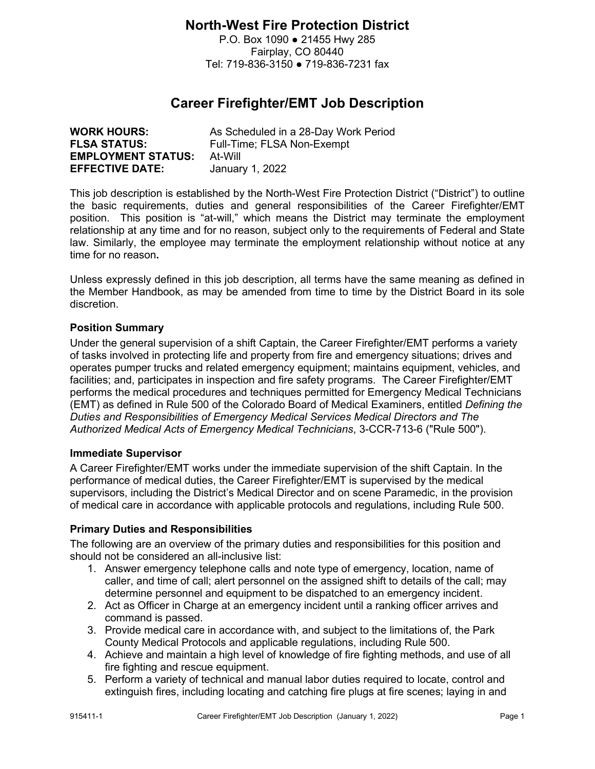## **North-West Fire Protection District**

P.O. Box 1090 ● 21455 Hwy 285 Fairplay, CO 80440 Tel: 719-836-3150 ● 719-836-7231 fax

# **Career Firefighter/EMT Job Description**

| <b>WORK HOURS:</b>        | As Scheduled in a 28-Day Work Period |
|---------------------------|--------------------------------------|
| <b>FLSA STATUS:</b>       | Full-Time; FLSA Non-Exempt           |
| <b>EMPLOYMENT STATUS:</b> | At-Will                              |
| <b>EFFECTIVE DATE:</b>    | January 1, 2022                      |

This job description is established by the North-West Fire Protection District ("District") to outline the basic requirements, duties and general responsibilities of the Career Firefighter/EMT position. This position is "at-will," which means the District may terminate the employment relationship at any time and for no reason, subject only to the requirements of Federal and State law. Similarly, the employee may terminate the employment relationship without notice at any time for no reason**.** 

Unless expressly defined in this job description, all terms have the same meaning as defined in the Member Handbook, as may be amended from time to time by the District Board in its sole discretion.

## **Position Summary**

Under the general supervision of a shift Captain, the Career Firefighter/EMT performs a variety of tasks involved in protecting life and property from fire and emergency situations; drives and operates pumper trucks and related emergency equipment; maintains equipment, vehicles, and facilities; and, participates in inspection and fire safety programs. The Career Firefighter/EMT performs the medical procedures and techniques permitted for Emergency Medical Technicians (EMT) as defined in Rule 500 of the Colorado Board of Medical Examiners, entitled *Defining the Duties and Responsibilities of Emergency Medical Services Medical Directors and The Authorized Medical Acts of Emergency Medical Technicians*, 3-CCR-713-6 ("Rule 500").

## **Immediate Supervisor**

A Career Firefighter/EMT works under the immediate supervision of the shift Captain. In the performance of medical duties, the Career Firefighter/EMT is supervised by the medical supervisors, including the District's Medical Director and on scene Paramedic, in the provision of medical care in accordance with applicable protocols and regulations, including Rule 500.

## **Primary Duties and Responsibilities**

The following are an overview of the primary duties and responsibilities for this position and should not be considered an all-inclusive list:

- 1. Answer emergency telephone calls and note type of emergency, location, name of caller, and time of call; alert personnel on the assigned shift to details of the call; may determine personnel and equipment to be dispatched to an emergency incident.
- 2. Act as Officer in Charge at an emergency incident until a ranking officer arrives and command is passed.
- 3. Provide medical care in accordance with, and subject to the limitations of, the Park County Medical Protocols and applicable regulations, including Rule 500.
- 4. Achieve and maintain a high level of knowledge of fire fighting methods, and use of all fire fighting and rescue equipment.
- 5. Perform a variety of technical and manual labor duties required to locate, control and extinguish fires, including locating and catching fire plugs at fire scenes; laying in and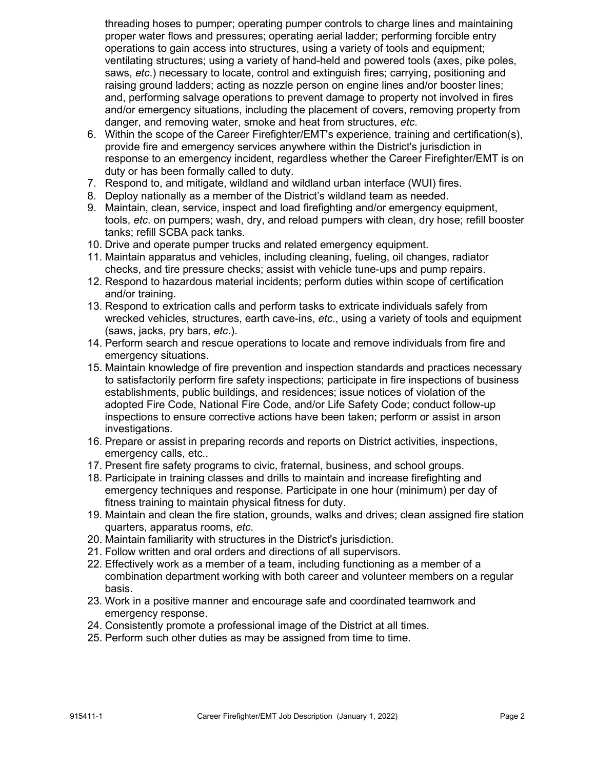threading hoses to pumper; operating pumper controls to charge lines and maintaining proper water flows and pressures; operating aerial ladder; performing forcible entry operations to gain access into structures, using a variety of tools and equipment; ventilating structures; using a variety of hand-held and powered tools (axes, pike poles, saws, *etc*.) necessary to locate, control and extinguish fires; carrying, positioning and raising ground ladders; acting as nozzle person on engine lines and/or booster lines; and, performing salvage operations to prevent damage to property not involved in fires and/or emergency situations, including the placement of covers, removing property from danger, and removing water, smoke and heat from structures, *etc*.

- 6. Within the scope of the Career Firefighter/EMT's experience, training and certification(s), provide fire and emergency services anywhere within the District's jurisdiction in response to an emergency incident, regardless whether the Career Firefighter/EMT is on duty or has been formally called to duty.
- 7. Respond to, and mitigate, wildland and wildland urban interface (WUI) fires.
- 8. Deploy nationally as a member of the District's wildland team as needed.
- 9. Maintain, clean, service, inspect and load firefighting and/or emergency equipment, tools, *etc*. on pumpers; wash, dry, and reload pumpers with clean, dry hose; refill booster tanks; refill SCBA pack tanks.
- 10. Drive and operate pumper trucks and related emergency equipment.
- 11. Maintain apparatus and vehicles, including cleaning, fueling, oil changes, radiator checks, and tire pressure checks; assist with vehicle tune-ups and pump repairs.
- 12. Respond to hazardous material incidents; perform duties within scope of certification and/or training.
- 13. Respond to extrication calls and perform tasks to extricate individuals safely from wrecked vehicles, structures, earth cave-ins, *etc*., using a variety of tools and equipment (saws, jacks, pry bars, *etc*.).
- 14. Perform search and rescue operations to locate and remove individuals from fire and emergency situations.
- 15. Maintain knowledge of fire prevention and inspection standards and practices necessary to satisfactorily perform fire safety inspections; participate in fire inspections of business establishments, public buildings, and residences; issue notices of violation of the adopted Fire Code, National Fire Code, and/or Life Safety Code; conduct follow-up inspections to ensure corrective actions have been taken; perform or assist in arson investigations.
- 16. Prepare or assist in preparing records and reports on District activities, inspections, emergency calls, etc..
- 17. Present fire safety programs to civic, fraternal, business, and school groups.
- 18. Participate in training classes and drills to maintain and increase firefighting and emergency techniques and response. Participate in one hour (minimum) per day of fitness training to maintain physical fitness for duty.
- 19. Maintain and clean the fire station, grounds, walks and drives; clean assigned fire station quarters, apparatus rooms, *etc*.
- 20. Maintain familiarity with structures in the District's jurisdiction.
- 21. Follow written and oral orders and directions of all supervisors.
- 22. Effectively work as a member of a team, including functioning as a member of a combination department working with both career and volunteer members on a regular basis.
- 23. Work in a positive manner and encourage safe and coordinated teamwork and emergency response.
- 24. Consistently promote a professional image of the District at all times.
- 25. Perform such other duties as may be assigned from time to time.